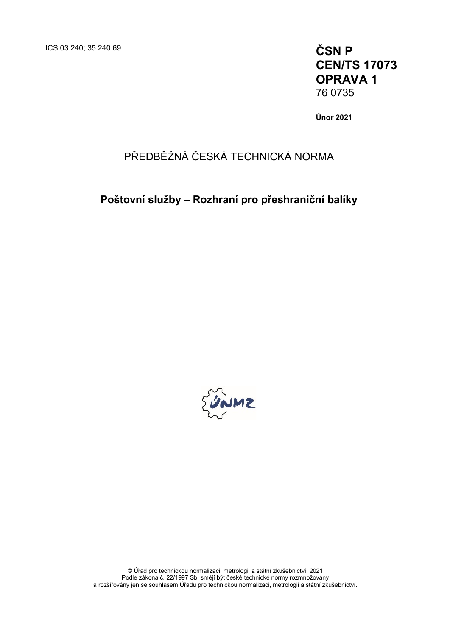**CEN/TS 17073 OPRAVA 1** 76 0735

**Únor 2021**

### PŘEDBĚŽNÁ ČESKÁ TECHNICKÁ NORMA

**Poštovní služby – Rozhraní pro přeshraniční balíky**



© Úřad pro technickou normalizaci, metrologii a státní zkušebnictví, 2021 Podle zákona č. 22/1997 Sb. smějí být české technické normy rozmnožovány a rozšiřovány jen se souhlasem Úřadu pro technickou normalizaci, metrologii a státní zkušebnictví.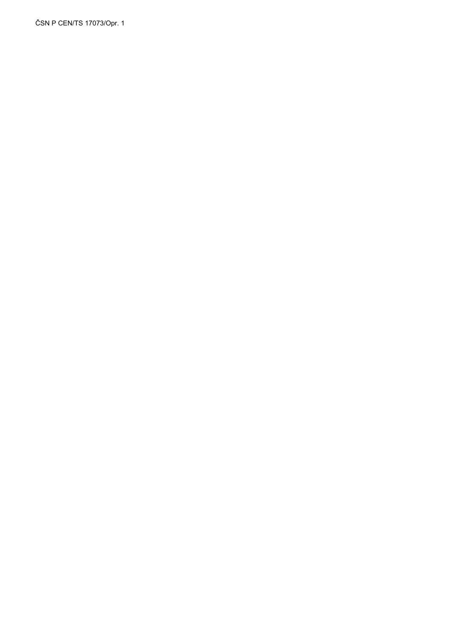ČSN P CEN/TS 17073/Opr. 1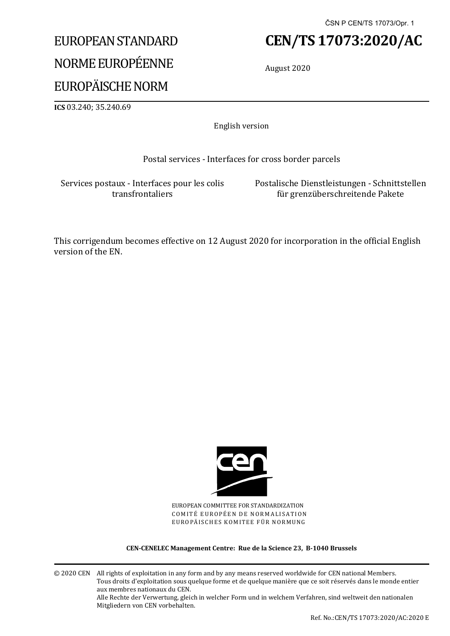# EUROPEAN STANDARD NORME EUROPÉENNE EUROPÄISCHE NORM

## **CEN/TS 17073:2020/AC**

August 2020

**ICS** 03.240; 35.240.69

English version

Postal services - Interfaces for cross border parcels

Services postaux - Interfaces pour les colis transfrontaliers

Postalische Dienstleistungen - Schnittstellen für grenzüberschreitende Pakete

This corrigendum becomes effective on 12 August 2020 for incorporation in the official English version of the EN.



EUROPEAN COMMITTEE FOR STANDARDIZATION COMITÉ EUROPÉEN DE NORMALISATION EUROPÄISCHES KOMITEE FÜR NORMUNG

**CEN-CENELEC Management Centre: Rue de la Science 23, B-1040 Brussels**

© 2020 CEN All rights of exploitation in any form and by any means reserved worldwide for CEN national Members. Tous droits d'exploitation sous quelque forme et de quelque manière que ce soit réservés dans le monde entier aux membres nationaux du CEN. Alle Rechte der Verwertung, gleich in welcher Form und in welchem Verfahren, sind weltweit den nationalen Mitgliedern von CEN vorbehalten.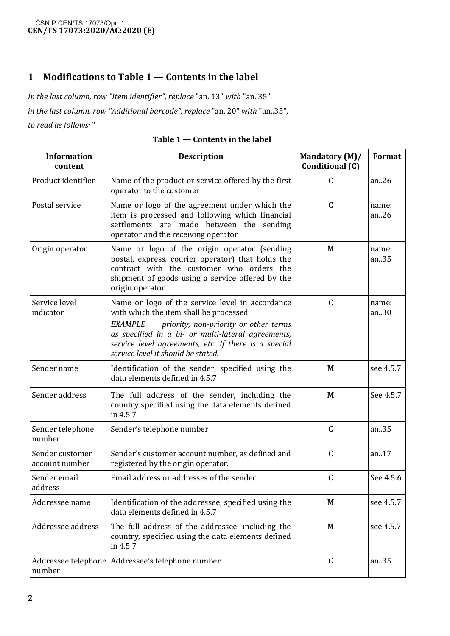#### **1 Modifications to Table 1 — Contents in the label**

*In the last column, row "Item identifier", replace* "an..13" *with* "an..35", *in the last column, row "Additional barcode", replace* "an..20" *with* "an..35", *to read as follows:* "

| <b>Information</b><br>content     | <b>Description</b>                                                                                                                                                                                                                                                                                       | Mandatory (M)/<br>Conditional (C) | <b>Format</b>  |
|-----------------------------------|----------------------------------------------------------------------------------------------------------------------------------------------------------------------------------------------------------------------------------------------------------------------------------------------------------|-----------------------------------|----------------|
| Product identifier                | Name of the product or service offered by the first<br>operator to the customer                                                                                                                                                                                                                          | C                                 | an.26          |
| Postal service                    | Name or logo of the agreement under which the<br>item is processed and following which financial<br>settlements are made between the sending<br>operator and the receiving operator                                                                                                                      | $\mathcal{C}$                     | name:<br>an.26 |
| Origin operator                   | Name or logo of the origin operator (sending<br>postal, express, courier operator) that holds the<br>contract with the customer who orders the<br>shipment of goods using a service offered by the<br>origin operator                                                                                    | M                                 | name:<br>an35  |
| Service level<br>indicator        | Name or logo of the service level in accordance<br>with which the item shall be processed<br><b>EXAMPLE</b><br>priority; non-priority or other terms<br>as specified in a bi- or multi-lateral agreements,<br>service level agreements, etc. If there is a special<br>service level it should be stated. | $\mathsf{C}$                      | name:<br>an.30 |
| Sender name                       | Identification of the sender, specified using the<br>data elements defined in 4.5.7                                                                                                                                                                                                                      | M                                 | see 4.5.7      |
| Sender address                    | The full address of the sender, including the<br>country specified using the data elements defined<br>in 4.5.7                                                                                                                                                                                           | M                                 | See 4.5.7      |
| Sender telephone<br>number        | Sender's telephone number                                                                                                                                                                                                                                                                                | $\mathsf{C}$                      | an35           |
| Sender customer<br>account number | Sender's customer account number, as defined and<br>registered by the origin operator.                                                                                                                                                                                                                   | $\mathsf C$                       | an17           |
| Sender email<br>address           | Email address or addresses of the sender                                                                                                                                                                                                                                                                 | $\mathsf{C}$                      | See 4.5.6      |
| Addressee name                    | Identification of the addressee, specified using the<br>data elements defined in 4.5.7                                                                                                                                                                                                                   | M                                 | see 4.5.7      |
| Addressee address                 | The full address of the addressee, including the<br>country, specified using the data elements defined<br>in 4.5.7                                                                                                                                                                                       | M                                 | see 4.5.7      |
| number                            | Addressee telephone Addressee's telephone number                                                                                                                                                                                                                                                         | $\mathsf C$                       | an35           |

#### **Table 1 — Contents in the label**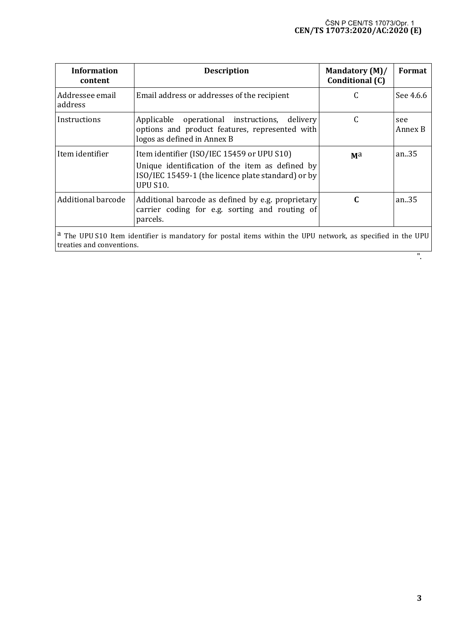| <b>Information</b><br>content | <b>Description</b>                                                                                                                                                     | Mandatory (M)/<br>Conditional (C) | Format         |
|-------------------------------|------------------------------------------------------------------------------------------------------------------------------------------------------------------------|-----------------------------------|----------------|
| Addressee email<br>address    | Email address or addresses of the recipient                                                                                                                            |                                   | See 4.6.6      |
| Instructions                  | Applicable operational instructions, delivery<br>options and product features, represented with<br>logos as defined in Annex B                                         | C                                 | see<br>Annex B |
| Item identifier               | Item identifier (ISO/IEC 15459 or UPU S10)<br>Unique identification of the item as defined by<br>ISO/IEC 15459-1 (the licence plate standard) or by<br><b>UPU S10.</b> | M <sup>a</sup>                    | an.35          |
| Additional barcode            | Additional barcode as defined by e.g. proprietary<br>carrier coding for e.g. sorting and routing of<br>parcels.                                                        |                                   | an $35$        |

a The UPU S10 Item identifier is mandatory for postal items within the UPU network, as specified in the UPU treaties and conventions.

".